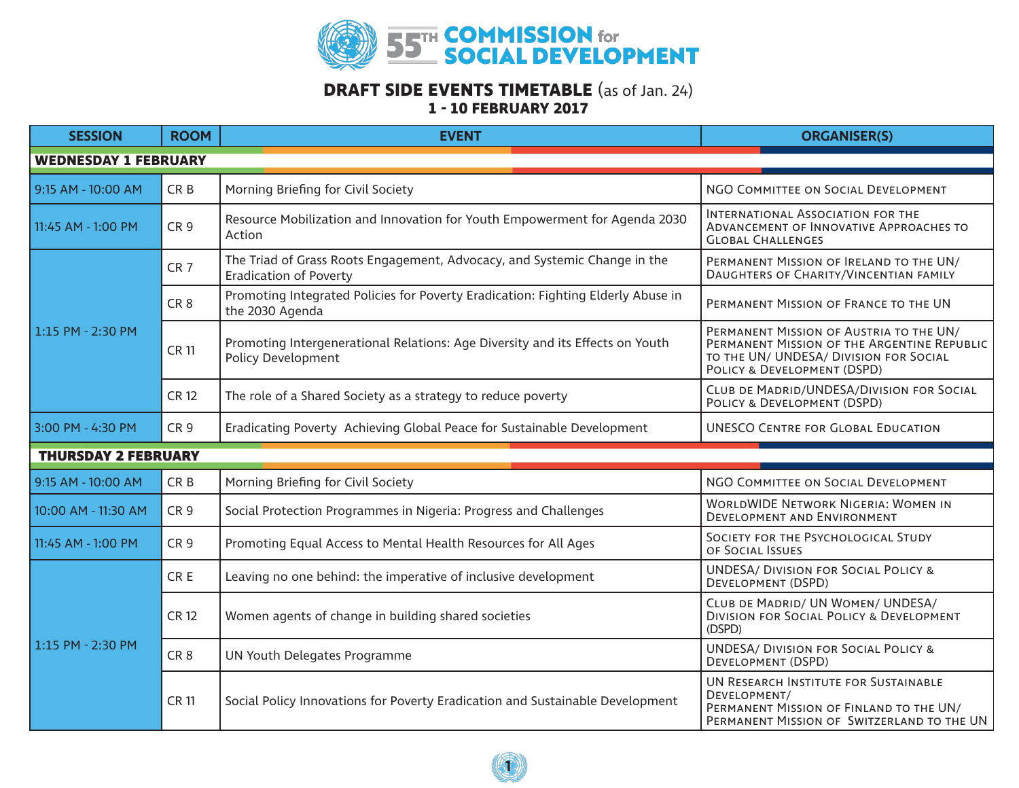

## **DRAFT SIDE EVENTS TIMETABLE** (as of Jan. 24) **1 - 10 FEBRUARY 2017**

| <b>SESSION</b>              | <b>ROOM</b>     | <b>EVENT</b>                                                                                               | <b>ORGANISER(S)</b>                                                                                                                                             |  |  |  |
|-----------------------------|-----------------|------------------------------------------------------------------------------------------------------------|-----------------------------------------------------------------------------------------------------------------------------------------------------------------|--|--|--|
| <b>WEDNESDAY 1 FEBRUARY</b> |                 |                                                                                                            |                                                                                                                                                                 |  |  |  |
| 9:15 AM - 10:00 AM          | CR <sub>B</sub> | Morning Briefing for Civil Society                                                                         | NGO COMMITTEE ON SOCIAL DEVELOPMENT                                                                                                                             |  |  |  |
| 11:45 AM - 1:00 PM          | CR <sub>9</sub> | Resource Mobilization and Innovation for Youth Empowerment for Agenda 2030<br>Action                       | International Association for the<br>ADVANCEMENT OF INNOVATIVE APPROACHES TO<br><b>GLOBAL CHALLENGES</b>                                                        |  |  |  |
| 1:15 PM - 2:30 PM           | CR <sub>7</sub> | The Triad of Grass Roots Engagement, Advocacy, and Systemic Change in the<br><b>Eradication of Poverty</b> | PERMANENT MISSION OF IRELAND TO THE UN/<br>DAUGHTERS OF CHARITY/VINCENTIAN FAMILY                                                                               |  |  |  |
|                             | CR <sub>8</sub> | Promoting Integrated Policies for Poverty Eradication: Fighting Elderly Abuse in<br>the 2030 Agenda        | PERMANENT MISSION OF FRANCE TO THE UN                                                                                                                           |  |  |  |
|                             | <b>CR11</b>     | Promoting Intergenerational Relations: Age Diversity and its Effects on Youth<br>Policy Development        | PERMANENT MISSION OF AUSTRIA TO THE UN/<br>PERMANENT MISSION OF THE ARGENTINE REPUBLIC<br>TO THE UN/ UNDESA/ DIVISION FOR SOCIAL<br>POLICY & DEVELOPMENT (DSPD) |  |  |  |
|                             | <b>CR12</b>     | The role of a Shared Society as a strategy to reduce poverty                                               | CLUB DE MADRID/UNDESA/DIVISION FOR SOCIAL<br>POLICY & DEVELOPMENT (DSPD)                                                                                        |  |  |  |
| 3:00 PM - 4:30 PM           | CR <sub>9</sub> | Eradicating Poverty Achieving Global Peace for Sustainable Development                                     | <b>UNESCO CENTRE FOR GLOBAL EDUCATION</b>                                                                                                                       |  |  |  |
| <b>THURSDAY 2 FEBRUARY</b>  |                 |                                                                                                            |                                                                                                                                                                 |  |  |  |
| 9:15 AM - 10:00 AM          | CR <sub>B</sub> | Morning Briefing for Civil Society                                                                         | NGO COMMITTEE ON SOCIAL DEVELOPMENT                                                                                                                             |  |  |  |
| 10:00 AM - 11:30 AM         | CR <sub>9</sub> | Social Protection Programmes in Nigeria: Progress and Challenges                                           | <b>WORLDWIDE NETWORK NIGERIA: WOMEN IN</b><br>DEVELOPMENT AND ENVIRONMENT                                                                                       |  |  |  |
| 11:45 AM - 1:00 PM          | CR <sub>9</sub> | Promoting Equal Access to Mental Health Resources for All Ages                                             | SOCIETY FOR THE PSYCHOLOGICAL STUDY<br>OF SOCIAL ISSUES                                                                                                         |  |  |  |
| 1:15 PM - 2:30 PM           | CR <sub>E</sub> | Leaving no one behind: the imperative of inclusive development                                             | <b>UNDESA/ DIVISION FOR SOCIAL POLICY &amp;</b><br>DEVELOPMENT (DSPD)                                                                                           |  |  |  |
|                             | <b>CR12</b>     | Women agents of change in building shared societies                                                        | CLUB DE MADRID/ UN WOMEN/ UNDESA/<br><b>DIVISION FOR SOCIAL POLICY &amp; DEVELOPMENT</b><br>(DSPD)                                                              |  |  |  |
|                             | CR <sub>8</sub> | UN Youth Delegates Programme                                                                               | <b>UNDESA/ DIVISION FOR SOCIAL POLICY &amp;</b><br>DEVELOPMENT (DSPD)                                                                                           |  |  |  |
|                             | <b>CR11</b>     | Social Policy Innovations for Poverty Eradication and Sustainable Development                              | UN RESEARCH INSTITUTE FOR SUSTAINABLE<br>DEVELOPMENT/<br>PERMANENT MISSION OF FINLAND TO THE UN/<br>PERMANENT MISSION OF SWITZERLAND TO THE UN                  |  |  |  |

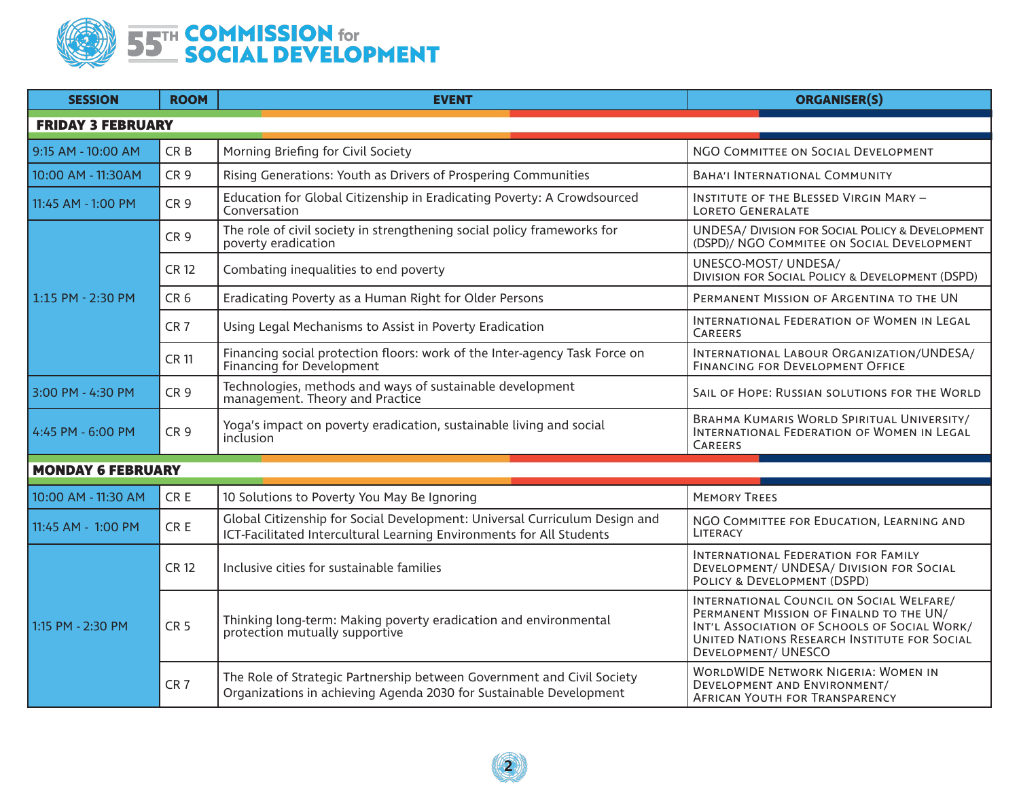

| <b>SESSION</b>           | <b>ROOM</b>     | <b>EVENT</b>                                                                                                                                       | <b>ORGANISER(S)</b>                                                                                                                                                                                               |  |  |
|--------------------------|-----------------|----------------------------------------------------------------------------------------------------------------------------------------------------|-------------------------------------------------------------------------------------------------------------------------------------------------------------------------------------------------------------------|--|--|
| <b>FRIDAY 3 FEBRUARY</b> |                 |                                                                                                                                                    |                                                                                                                                                                                                                   |  |  |
| 9:15 AM - 10:00 AM       | CR <sub>B</sub> | Morning Briefing for Civil Society                                                                                                                 | NGO COMMITTEE ON SOCIAL DEVELOPMENT                                                                                                                                                                               |  |  |
| 10:00 AM - 11:30AM       | CR <sub>9</sub> | Rising Generations: Youth as Drivers of Prospering Communities                                                                                     | <b>BAHA'I INTERNATIONAL COMMUNITY</b>                                                                                                                                                                             |  |  |
| 11:45 AM - 1:00 PM       | CR <sub>9</sub> | Education for Global Citizenship in Eradicating Poverty: A Crowdsourced<br>Conversation                                                            | <b>INSTITUTE OF THE BLESSED VIRGIN MARY -</b><br><b>LORETO GENERALATE</b>                                                                                                                                         |  |  |
| 1:15 PM - 2:30 PM        | CR <sub>9</sub> | The role of civil society in strengthening social policy frameworks for<br>poverty eradication                                                     | <b>UNDESA/ DIVISION FOR SOCIAL POLICY &amp; DEVELOPMENT</b><br>(DSPD)/ NGO COMMITEE ON SOCIAL DEVELOPMENT                                                                                                         |  |  |
|                          | <b>CR 12</b>    | Combating inequalities to end poverty                                                                                                              | UNESCO-MOST/ UNDESA/<br><b>DIVISION FOR SOCIAL POLICY &amp; DEVELOPMENT (DSPD)</b>                                                                                                                                |  |  |
|                          | CR <sub>6</sub> | Eradicating Poverty as a Human Right for Older Persons                                                                                             | PERMANENT MISSION OF ARGENTINA TO THE UN                                                                                                                                                                          |  |  |
|                          | CR <sub>7</sub> | Using Legal Mechanisms to Assist in Poverty Eradication                                                                                            | INTERNATIONAL FEDERATION OF WOMEN IN LEGAL<br><b>CAREERS</b>                                                                                                                                                      |  |  |
|                          | <b>CR 11</b>    | Financing social protection floors: work of the Inter-agency Task Force on<br>Financing for Development                                            | INTERNATIONAL LABOUR ORGANIZATION/UNDESA/<br>FINANCING FOR DEVELOPMENT OFFICE                                                                                                                                     |  |  |
| 3:00 PM - 4:30 PM        | CR <sub>9</sub> | Technologies, methods and ways of sustainable development<br>management. Theory and Practice                                                       | SAIL OF HOPE: RUSSIAN SOLUTIONS FOR THE WORLD                                                                                                                                                                     |  |  |
| 4:45 PM - 6:00 PM        | CR <sub>9</sub> | Yoga's impact on poverty eradication, sustainable living and social<br>inclusion                                                                   | BRAHMA KUMARIS WORLD SPIRITUAL UNIVERSITY/<br>INTERNATIONAL FEDERATION OF WOMEN IN LEGAL<br><b>CAREERS</b>                                                                                                        |  |  |
| <b>MONDAY 6 FEBRUARY</b> |                 |                                                                                                                                                    |                                                                                                                                                                                                                   |  |  |
| 10:00 AM - 11:30 AM      | CR E            | 10 Solutions to Poverty You May Be Ignoring                                                                                                        | <b>MEMORY TREES</b>                                                                                                                                                                                               |  |  |
| 11:45 AM - 1:00 PM       | CR E            | Global Citizenship for Social Development: Universal Curriculum Design and<br>ICT-Facilitated Intercultural Learning Environments for All Students | NGO COMMITTEE FOR EDUCATION, LEARNING AND<br>LITERACY                                                                                                                                                             |  |  |
| 1:15 PM - 2:30 PM        | <b>CR 12</b>    | Inclusive cities for sustainable families                                                                                                          | INTERNATIONAL FEDERATION FOR FAMILY<br>DEVELOPMENT/ UNDESA/ DIVISION FOR SOCIAL<br>POLICY & DEVELOPMENT (DSPD)                                                                                                    |  |  |
|                          | <b>CR 5</b>     | Thinking long-term: Making poverty eradication and environmental<br>protection mutually supportive                                                 | INTERNATIONAL COUNCIL ON SOCIAL WELFARE/<br>PERMANENT MISSION OF FINALND TO THE UN/<br>INT'L ASSOCIATION OF SCHOOLS OF SOCIAL WORK/<br>UNITED NATIONS RESEARCH INSTITUTE FOR SOCIAL<br><b>DEVELOPMENT/ UNESCO</b> |  |  |
|                          | CR <sub>7</sub> | The Role of Strategic Partnership between Government and Civil Society<br>Organizations in achieving Agenda 2030 for Sustainable Development       | <b>WORLDWIDE NETWORK NIGERIA: WOMEN IN</b><br>DEVELOPMENT AND ENVIRONMENT/<br><b>AFRICAN YOUTH FOR TRANSPARENCY</b>                                                                                               |  |  |

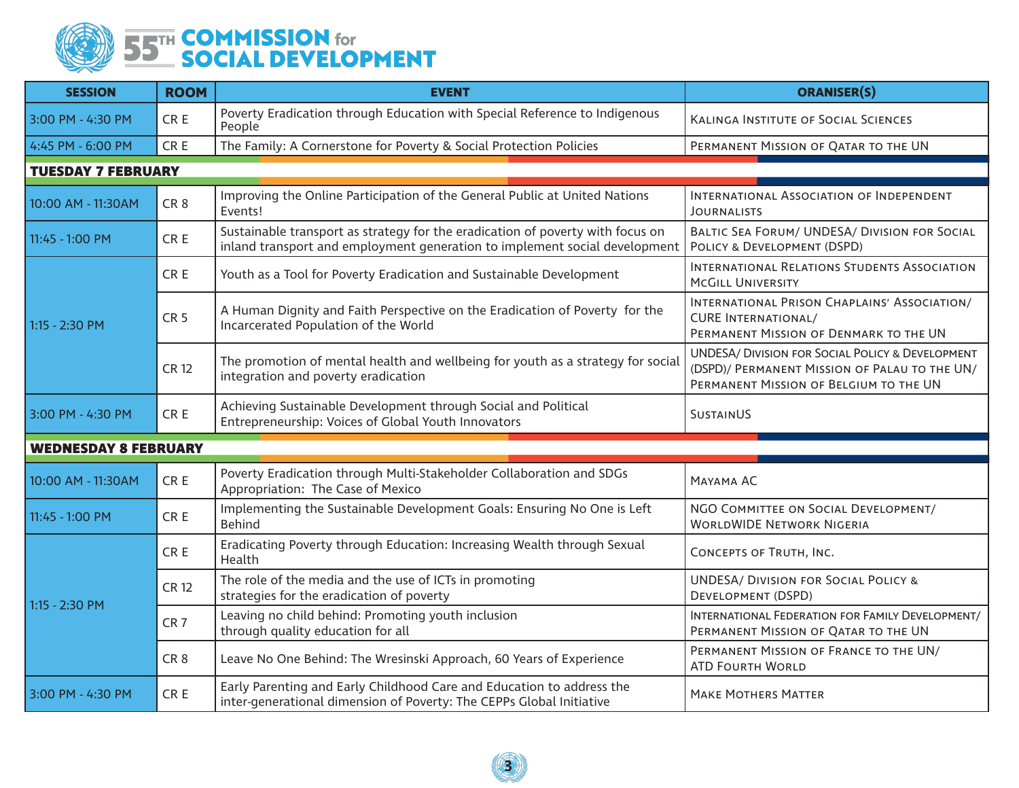

| <b>SESSION</b>              | <b>ROOM</b>     | <b>EVENT</b>                                                                                                                                                 | <b>ORANISER(S)</b>                                                                                                                                     |  |  |  |
|-----------------------------|-----------------|--------------------------------------------------------------------------------------------------------------------------------------------------------------|--------------------------------------------------------------------------------------------------------------------------------------------------------|--|--|--|
| 3:00 PM - 4:30 PM           | CR E            | Poverty Eradication through Education with Special Reference to Indigenous<br>People                                                                         | <b>KALINGA INSTITUTE OF SOCIAL SCIENCES</b>                                                                                                            |  |  |  |
| 4:45 PM - 6:00 PM           | CR E            | The Family: A Cornerstone for Poverty & Social Protection Policies                                                                                           | PERMANENT MISSION OF QATAR TO THE UN                                                                                                                   |  |  |  |
| <b>TUESDAY 7 FEBRUARY</b>   |                 |                                                                                                                                                              |                                                                                                                                                        |  |  |  |
| 10:00 AM - 11:30AM          | CR <sub>8</sub> | Improving the Online Participation of the General Public at United Nations<br>Events!                                                                        | INTERNATIONAL ASSOCIATION OF INDEPENDENT<br><b>JOURNALISTS</b>                                                                                         |  |  |  |
| 11:45 - 1:00 PM             | CR E            | Sustainable transport as strategy for the eradication of poverty with focus on<br>inland transport and employment generation to implement social development | BALTIC SEA FORUM/ UNDESA/ DIVISION FOR SOCIAL<br>POLICY & DEVELOPMENT (DSPD)                                                                           |  |  |  |
| 1:15 - 2:30 PM              | CR E            | Youth as a Tool for Poverty Eradication and Sustainable Development                                                                                          | INTERNATIONAL RELATIONS STUDENTS ASSOCIATION<br><b>MCGILL UNIVERSITY</b>                                                                               |  |  |  |
|                             | CR <sub>5</sub> | A Human Dignity and Faith Perspective on the Eradication of Poverty for the<br>Incarcerated Population of the World                                          | INTERNATIONAL PRISON CHAPLAINS' ASSOCIATION/<br><b>CURE INTERNATIONAL/</b><br>PERMANENT MISSION OF DENMARK TO THE UN                                   |  |  |  |
|                             | <b>CR 12</b>    | The promotion of mental health and wellbeing for youth as a strategy for social<br>integration and poverty eradication                                       | <b>UNDESA/ DIVISION FOR SOCIAL POLICY &amp; DEVELOPMENT</b><br>(DSPD)/ PERMANENT MISSION OF PALAU TO THE UN/<br>PERMANENT MISSION OF BELGIUM TO THE UN |  |  |  |
| 3:00 PM - 4:30 PM           | CR E            | Achieving Sustainable Development through Social and Political<br>Entrepreneurship: Voices of Global Youth Innovators                                        | <b>SUSTAINUS</b>                                                                                                                                       |  |  |  |
| <b>WEDNESDAY 8 FEBRUARY</b> |                 |                                                                                                                                                              |                                                                                                                                                        |  |  |  |
| 10:00 AM - 11:30AM          | CR <sub>E</sub> | Poverty Eradication through Multi-Stakeholder Collaboration and SDGs<br>Appropriation: The Case of Mexico                                                    | MAYAMA AC                                                                                                                                              |  |  |  |
| 11:45 - 1:00 PM             | CR E            | Implementing the Sustainable Development Goals: Ensuring No One is Left<br><b>Behind</b>                                                                     | NGO COMMITTEE ON SOCIAL DEVELOPMENT/<br><b>WORLDWIDE NETWORK NIGERIA</b>                                                                               |  |  |  |
| 1:15 - 2:30 PM              | CR E            | Eradicating Poverty through Education: Increasing Wealth through Sexual<br>Health                                                                            | CONCEPTS OF TRUTH, INC.                                                                                                                                |  |  |  |
|                             | <b>CR 12</b>    | The role of the media and the use of ICTs in promoting<br>strategies for the eradication of poverty                                                          | <b>UNDESA/ DIVISION FOR SOCIAL POLICY &amp;</b><br>DEVELOPMENT (DSPD)                                                                                  |  |  |  |
|                             | CR <sub>7</sub> | Leaving no child behind: Promoting youth inclusion<br>through quality education for all                                                                      | INTERNATIONAL FEDERATION FOR FAMILY DEVELOPMENT/<br>PERMANENT MISSION OF QATAR TO THE UN                                                               |  |  |  |
|                             | CR <sub>8</sub> | Leave No One Behind: The Wresinski Approach, 60 Years of Experience                                                                                          | PERMANENT MISSION OF FRANCE TO THE UN/<br><b>ATD FOURTH WORLD</b>                                                                                      |  |  |  |
| 3:00 PM - 4:30 PM           | CR E            | Early Parenting and Early Childhood Care and Education to address the<br>inter-generational dimension of Poverty: The CEPPs Global Initiative                | <b>MAKE MOTHERS MATTER</b>                                                                                                                             |  |  |  |